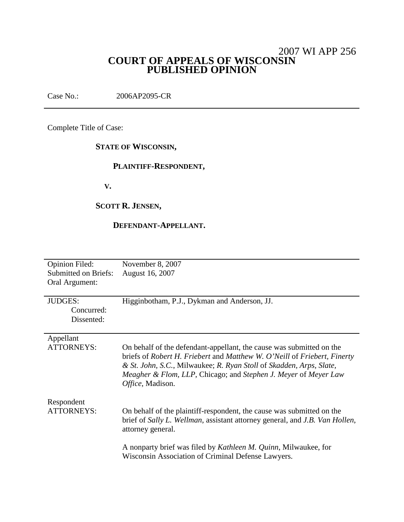# 2007 WI APP 256 **COURT OF APPEALS OF WISCONSIN PUBLISHED OPINION**

Case No.: 2006AP2095-CR

Complete Title of Case:

# **STATE OF WISCONSIN,**

## **PLAINTIFF-RESPONDENT,**

**V.**

# **SCOTT R. JENSEN,**

### **DEFENDANT-APPELLANT.**

| Opinion Filed:<br><b>Submitted on Briefs:</b><br>Oral Argument: | November 8, 2007<br>August 16, 2007                                                                                                                                                                                                                                                                            |
|-----------------------------------------------------------------|----------------------------------------------------------------------------------------------------------------------------------------------------------------------------------------------------------------------------------------------------------------------------------------------------------------|
| <b>JUDGES:</b><br>Concurred:<br>Dissented:                      | Higginbotham, P.J., Dykman and Anderson, JJ.                                                                                                                                                                                                                                                                   |
| Appellant<br><b>ATTORNEYS:</b>                                  | On behalf of the defendant-appellant, the cause was submitted on the<br>briefs of Robert H. Friebert and Matthew W. O'Neill of Friebert, Finerty<br>& St. John, S.C., Milwaukee; R. Ryan Stoll of Skadden, Arps, Slate,<br>Meagher & Flom, LLP, Chicago; and Stephen J. Meyer of Meyer Law<br>Office, Madison. |
| Respondent<br><b>ATTORNEYS:</b>                                 | On behalf of the plaintiff-respondent, the cause was submitted on the<br>brief of Sally L. Wellman, assistant attorney general, and J.B. Van Hollen,<br>attorney general.<br>A nonparty brief was filed by <i>Kathleen M. Quinn</i> , Milwaukee, for<br>Wisconsin Association of Criminal Defense Lawyers.     |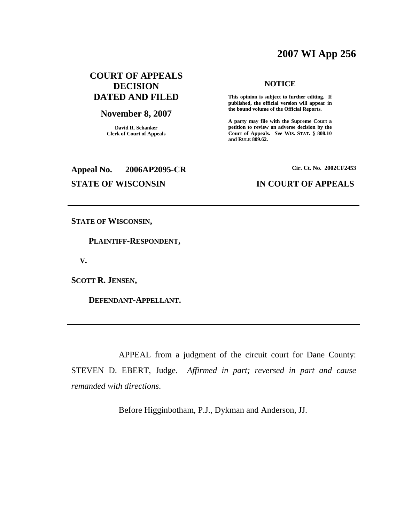# **2007 WI App 256**

# **COURT OF APPEALS DECISION DATED AND FILED**

### **November 8, 2007**

**David R. Schanker Clerk of Court of Appeals**

# **NOTICE**

**This opinion is subject to further editing. If published, the official version will appear in the bound volume of the Official Reports.**

**A party may file with the Supreme Court a petition to review an adverse decision by the Court of Appeals.** *See* **WIS. STAT. § 808.10 and RULE 809.62.**

# **Appeal No. 2006AP2095-CR Cir. Ct. No. 2002CF2453**

### **STATE OF WISCONSIN IN COURT OF APPEALS**

**STATE OF WISCONSIN,**

**PLAINTIFF-RESPONDENT,**

**V.**

**SCOTT R. JENSEN,**

**DEFENDANT-APPELLANT.**

APPEAL from a judgment of the circuit court for Dane County: STEVEN D. EBERT, Judge. *Affirmed in part; reversed in part and cause remanded with directions*.

Before Higginbotham, P.J., Dykman and Anderson, JJ.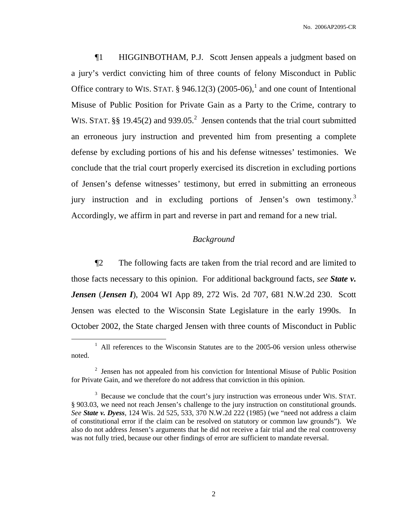¶1 HIGGINBOTHAM, P.J. Scott Jensen appeals a judgment based on a jury's verdict convicting him of three counts of felony Misconduct in Public Office contrary to WIS. STAT.  $\S$  946.12(3) (2005-06),<sup>1</sup> and one count of Intentional Misuse of Public Position for Private Gain as a Party to the Crime, contrary to WIS. STAT. §§ 19.45(2) and 939.05.<sup>2</sup> Jensen contends that the trial court submitted an erroneous jury instruction and prevented him from presenting a complete defense by excluding portions of his and his defense witnesses' testimonies. We conclude that the trial court properly exercised its discretion in excluding portions of Jensen's defense witnesses' testimony, but erred in submitting an erroneous jury instruction and in excluding portions of Jensen's own testimony.<sup>3</sup> Accordingly, we affirm in part and reverse in part and remand for a new trial.

### *Background*

¶2 The following facts are taken from the trial record and are limited to those facts necessary to this opinion. For additional background facts, *see State v. Jensen* (*Jensen I*), 2004 WI App 89, 272 Wis. 2d 707, 681 N.W.2d 230. Scott Jensen was elected to the Wisconsin State Legislature in the early 1990s. In October 2002, the State charged Jensen with three counts of Misconduct in Public

 $1$  All references to the Wisconsin Statutes are to the 2005-06 version unless otherwise noted.

<sup>&</sup>lt;sup>2</sup> Jensen has not appealed from his conviction for Intentional Misuse of Public Position for Private Gain, and we therefore do not address that conviction in this opinion.

<sup>&</sup>lt;sup>3</sup> Because we conclude that the court's jury instruction was erroneous under WIS. STAT. § 903.03, we need not reach Jensen's challenge to the jury instruction on constitutional grounds. *See State v. Dyess*, 124 Wis. 2d 525, 533, 370 N.W.2d 222 (1985) (we "need not address a claim of constitutional error if the claim can be resolved on statutory or common law grounds"). We also do not address Jensen's arguments that he did not receive a fair trial and the real controversy was not fully tried, because our other findings of error are sufficient to mandate reversal.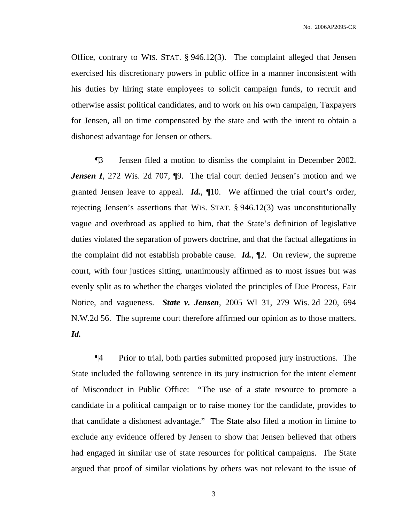Office, contrary to WIS. STAT. § 946.12(3). The complaint alleged that Jensen exercised his discretionary powers in public office in a manner inconsistent with his duties by hiring state employees to solicit campaign funds, to recruit and otherwise assist political candidates, and to work on his own campaign, Taxpayers for Jensen, all on time compensated by the state and with the intent to obtain a dishonest advantage for Jensen or others.

¶3 Jensen filed a motion to dismiss the complaint in December 2002. *Jensen I*, 272 Wis. 2d 707,  $\phi$ 9. The trial court denied Jensen's motion and we granted Jensen leave to appeal. *Id.*, ¶10. We affirmed the trial court's order, rejecting Jensen's assertions that WIS. STAT. § 946.12(3) was unconstitutionally vague and overbroad as applied to him, that the State's definition of legislative duties violated the separation of powers doctrine, and that the factual allegations in the complaint did not establish probable cause. *Id.*, ¶2. On review, the supreme court, with four justices sitting, unanimously affirmed as to most issues but was evenly split as to whether the charges violated the principles of Due Process, Fair Notice, and vagueness. *State v. Jensen*, 2005 WI 31, 279 Wis. 2d 220, 694 N.W.2d 56. The supreme court therefore affirmed our opinion as to those matters. *Id.*

¶4 Prior to trial, both parties submitted proposed jury instructions. The State included the following sentence in its jury instruction for the intent element of Misconduct in Public Office: "The use of a state resource to promote a candidate in a political campaign or to raise money for the candidate, provides to that candidate a dishonest advantage." The State also filed a motion in limine to exclude any evidence offered by Jensen to show that Jensen believed that others had engaged in similar use of state resources for political campaigns. The State argued that proof of similar violations by others was not relevant to the issue of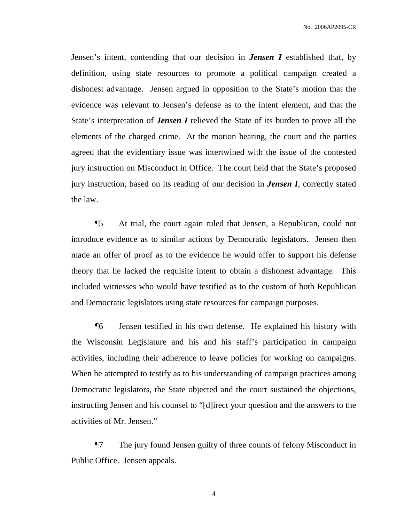Jensen's intent, contending that our decision in *Jensen I* established that, by definition, using state resources to promote a political campaign created a dishonest advantage. Jensen argued in opposition to the State's motion that the evidence was relevant to Jensen's defense as to the intent element, and that the State's interpretation of *Jensen I* relieved the State of its burden to prove all the elements of the charged crime. At the motion hearing, the court and the parties agreed that the evidentiary issue was intertwined with the issue of the contested jury instruction on Misconduct in Office. The court held that the State's proposed jury instruction, based on its reading of our decision in *Jensen I*, correctly stated the law.

¶5 At trial, the court again ruled that Jensen, a Republican, could not introduce evidence as to similar actions by Democratic legislators. Jensen then made an offer of proof as to the evidence he would offer to support his defense theory that he lacked the requisite intent to obtain a dishonest advantage. This included witnesses who would have testified as to the custom of both Republican and Democratic legislators using state resources for campaign purposes.

¶6 Jensen testified in his own defense. He explained his history with the Wisconsin Legislature and his and his staff's participation in campaign activities, including their adherence to leave policies for working on campaigns. When he attempted to testify as to his understanding of campaign practices among Democratic legislators, the State objected and the court sustained the objections, instructing Jensen and his counsel to "[d]irect your question and the answers to the activities of Mr. Jensen."

¶7 The jury found Jensen guilty of three counts of felony Misconduct in Public Office. Jensen appeals.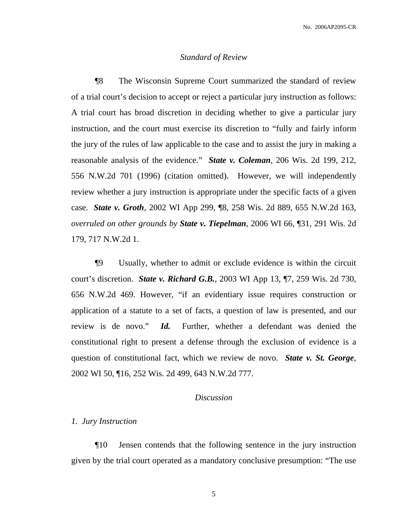### *Standard of Review*

¶8 The Wisconsin Supreme Court summarized the standard of review of a trial court's decision to accept or reject a particular jury instruction as follows: A trial court has broad discretion in deciding whether to give a particular jury instruction, and the court must exercise its discretion to "fully and fairly inform the jury of the rules of law applicable to the case and to assist the jury in making a reasonable analysis of the evidence." *State v. Coleman*, 206 Wis. 2d 199, 212, 556 N.W.2d 701 (1996) (citation omitted). However, we will independently review whether a jury instruction is appropriate under the specific facts of a given case. *State v. Groth*, 2002 WI App 299, ¶8, 258 Wis. 2d 889, 655 N.W.2d 163, *overruled on other grounds by State v. Tiepelman*, 2006 WI 66, ¶31, 291 Wis. 2d 179, 717 N.W.2d 1.

¶9 Usually, whether to admit or exclude evidence is within the circuit court's discretion. *State v. [Richard](http://web2.westlaw.com/find/default.wl?rs=WLW7.10&serialnum=2002772494&fn=_top&sv=Split&tc=-1&findtype=Y&tf=-1&db=595&vr=2.0&rp=%2ffind%2fdefault.wl&mt=Wisconsin) G.B.*, 2003 WI App 13, ¶7, 259 Wis. 2d 730, 656 [N.W.2d](http://web2.westlaw.com/find/default.wl?rs=WLW7.10&serialnum=2002772494&fn=_top&sv=Split&tc=-1&findtype=Y&tf=-1&db=595&vr=2.0&rp=%2ffind%2fdefault.wl&mt=Wisconsin) 469. However, "if an evidentiary issue requires construction or application of a statute to a set of facts, a question of law is presented, and our review is de novo." *Id.* Further, whether a defendant was denied the constitutional right to present a defense through the exclusion of evidence is a question of constitutional fact, which we review de novo. *State v. St. George*, 2002 WI 50, ¶16, 252 Wis. 2d 499, 643 N.W.2d 777.

### *Discussion*

### *1. Jury Instruction*

¶10 Jensen contends that the following sentence in the jury instruction given by the trial court operated as a mandatory conclusive presumption: "The use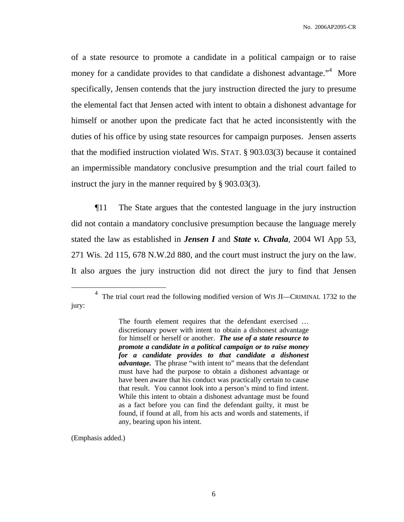of a state resource to promote a candidate in a political campaign or to raise money for a candidate provides to that candidate a dishonest advantage."<sup>4</sup> More specifically, Jensen contends that the jury instruction directed the jury to presume the elemental fact that Jensen acted with intent to obtain a dishonest advantage for himself or another upon the predicate fact that he acted inconsistently with the duties of his office by using state resources for campaign purposes. Jensen asserts that the modified instruction violated WIS. STAT. § 903.03(3) because it contained an impermissible mandatory conclusive presumption and the trial court failed to instruct the jury in the manner required by § 903.03(3).

¶11 The State argues that the contested language in the jury instruction did not contain a mandatory conclusive presumption because the language merely stated the law as established in *Jensen I* and *State v. Chvala*, 2004 WI App 53, 271 Wis. 2d 115, 678 N.W.2d 880, and the court must instruct the jury on the law. It also argues the jury instruction did not direct the jury to find that Jensen

(Emphasis added.)

<sup>&</sup>lt;sup>4</sup> The trial court read the following modified version of WIS JI—CRIMINAL 1732 to the jury:

The fourth element requires that the defendant exercised … discretionary power with intent to obtain a dishonest advantage for himself or herself or another. *The use of a state resource to promote a candidate in a political campaign or to raise money for a candidate provides to that candidate a dishonest advantage.* The phrase "with intent to" means that the defendant must have had the purpose to obtain a dishonest advantage or have been aware that his conduct was practically certain to cause that result. You cannot look into a person's mind to find intent. While this intent to obtain a dishonest advantage must be found as a fact before you can find the defendant guilty, it must be found, if found at all, from his acts and words and statements, if any, bearing upon his intent.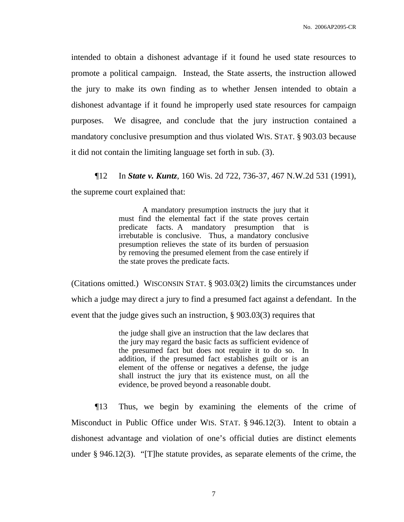intended to obtain a dishonest advantage if it found he used state resources to promote a political campaign. Instead, the State asserts, the instruction allowed the jury to make its own finding as to whether Jensen intended to obtain a dishonest advantage if it found he improperly used state resources for campaign purposes. We disagree, and conclude that the jury instruction contained a mandatory conclusive presumption and thus violated WIS. STAT. § 903.03 because it did not contain the limiting language set forth in sub. (3).

¶12 In *State v. Kuntz*, 160 Wis. 2d 722, 736-37, 467 N.W.2d 531 (1991), the supreme court explained that:

> A mandatory presumption instructs the jury that it must find the elemental fact if the state proves certain predicate facts. A mandatory presumption that is irrebutable is conclusive. Thus, a mandatory conclusive presumption relieves the state of its burden of persuasion by removing the presumed element from the case entirely if the state proves the predicate facts.

(Citations omitted.) WISCONSIN STAT. § 903.03(2) limits the circumstances under which a judge may direct a jury to find a presumed fact against a defendant. In the event that the judge gives such an instruction, § 903.03(3) requires that

> the judge shall give an instruction that the law declares that the jury may regard the basic facts as sufficient evidence of the presumed fact but does not require it to do so. In addition, if the presumed fact establishes guilt or is an element of the offense or negatives a defense, the judge shall instruct the jury that its existence must, on all the evidence, be proved beyond a reasonable doubt.

¶13 Thus, we begin by examining the elements of the crime of Misconduct in Public Office under WIS. STAT. § 946.12(3). Intent to obtain a dishonest advantage and violation of one's official duties are distinct elements under § 946.12(3). "[T]he statute provides, as separate elements of the crime, the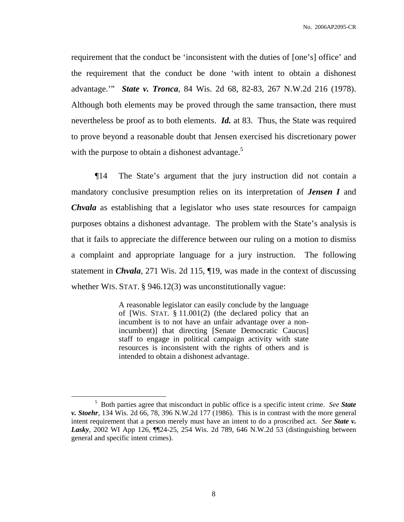requirement that the conduct be 'inconsistent with the duties of [one's] office' and the requirement that the conduct be done 'with intent to obtain a dishonest advantage.'" *State v. Tronca*, 84 Wis. 2d 68, 82-83, 267 N.W.2d 216 (1978). Although both elements may be proved through the same transaction, there must nevertheless be proof as to both elements. *Id.* at 83. Thus, the State was required to prove beyond a reasonable doubt that Jensen exercised his discretionary power with the purpose to obtain a dishonest advantage.<sup>5</sup>

¶14 The State's argument that the jury instruction did not contain a mandatory conclusive presumption relies on its interpretation of *Jensen I* and *Chvala* as establishing that a legislator who uses state resources for campaign purposes obtains a dishonest advantage. The problem with the State's analysis is that it fails to appreciate the difference between our ruling on a motion to dismiss a complaint and appropriate language for a jury instruction. The following statement in *Chvala*, 271 Wis. 2d 115, ¶19, was made in the context of discussing whether WIS. STAT. § 946.12(3) was unconstitutionally vague:

> A reasonable legislator can easily conclude by the language of [WIS. STAT. § 11.001(2) (the declared policy that an incumbent is to not have an unfair advantage over a nonincumbent)] that directing [Senate Democratic Caucus] staff to engage in political campaign activity with state resources is inconsistent with the rights of others and is intended to obtain a dishonest advantage.

<sup>5</sup> Both parties agree that misconduct in public office is a specific intent crime. *See State v. Stoehr*, 134 Wis. 2d 66, 78, 396 N.W.2d 177 (1986). This is in contrast with the more general intent requirement that a person merely must have an intent to do a proscribed act. *See State v. Lasky*, 2002 WI App 126, ¶¶24-25, 254 Wis. 2d 789, 646 N.W.2d 53 (distinguishing between general and specific intent crimes).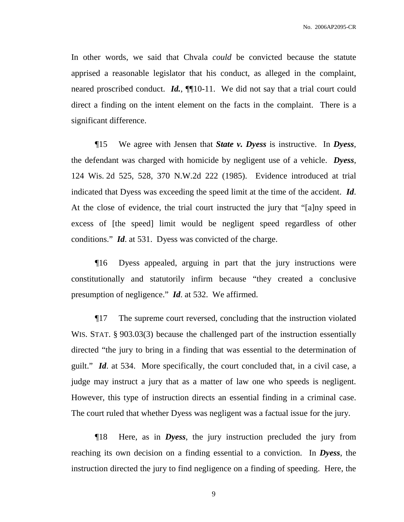In other words, we said that Chvala *could* be convicted because the statute apprised a reasonable legislator that his conduct, as alleged in the complaint, neared proscribed conduct. *Id.*, ¶¶10-11. We did not say that a trial court could direct a finding on the intent element on the facts in the complaint. There is a significant difference.

¶15 We agree with Jensen that *State v. Dyess* is instructive. In *Dyess*, the defendant was charged with homicide by negligent use of a vehicle. *Dyess*, 124 Wis. 2d 525, 528, 370 N.W.2d 222 (1985). Evidence introduced at trial indicated that Dyess was exceeding the speed limit at the time of the accident. *Id*. At the close of evidence, the trial court instructed the jury that "[a]ny speed in excess of [the speed] limit would be negligent speed regardless of other conditions." *Id*. at 531. Dyess was convicted of the charge.

¶16 Dyess appealed, arguing in part that the jury instructions were constitutionally and statutorily infirm because "they created a conclusive presumption of negligence." *Id*. at 532. We affirmed.

¶17 The supreme court reversed, concluding that the instruction violated WIS. STAT. § 903.03(3) because the challenged part of the instruction essentially directed "the jury to bring in a finding that was essential to the determination of guilt." *Id*. at 534. More specifically, the court concluded that, in a civil case, a judge may instruct a jury that as a matter of law one who speeds is negligent. However, this type of instruction directs an essential finding in a criminal case. The court ruled that whether Dyess was negligent was a factual issue for the jury.

¶18 Here, as in *Dyess*, the jury instruction precluded the jury from reaching its own decision on a finding essential to a conviction. In *Dyess*, the instruction directed the jury to find negligence on a finding of speeding. Here, the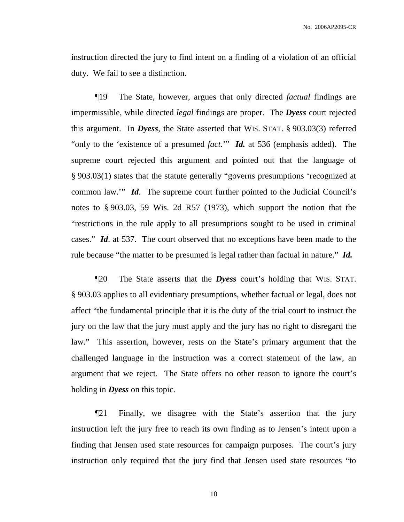instruction directed the jury to find intent on a finding of a violation of an official duty. We fail to see a distinction.

¶19 The State, however, argues that only directed *factual* findings are impermissible, while directed *legal* findings are proper. The *Dyess* court rejected this argument. In *Dyess*, the State asserted that WIS. STAT. § 903.03(3) referred "only to the 'existence of a presumed *fact*.'" *Id.* at 536 (emphasis added). The supreme court rejected this argument and pointed out that the language of § 903.03(1) states that the statute generally "governs presumptions 'recognized at common law.'" *Id*. The supreme court further pointed to the Judicial Council's notes to § 903.03, 59 Wis. 2d R57 (1973), which support the notion that the "restrictions in the rule apply to all presumptions sought to be used in criminal cases." *Id*. at 537. The court observed that no exceptions have been made to the rule because "the matter to be presumed is legal rather than factual in nature." *Id.*

¶20 The State asserts that the *Dyess* court's holding that WIS. STAT. § 903.03 applies to all evidentiary presumptions, whether factual or legal, does not affect "the fundamental principle that it is the duty of the trial court to instruct the jury on the law that the jury must apply and the jury has no right to disregard the law." This assertion, however, rests on the State's primary argument that the challenged language in the instruction was a correct statement of the law, an argument that we reject. The State offers no other reason to ignore the court's holding in *Dyess* on this topic.

¶21 Finally, we disagree with the State's assertion that the jury instruction left the jury free to reach its own finding as to Jensen's intent upon a finding that Jensen used state resources for campaign purposes. The court's jury instruction only required that the jury find that Jensen used state resources "to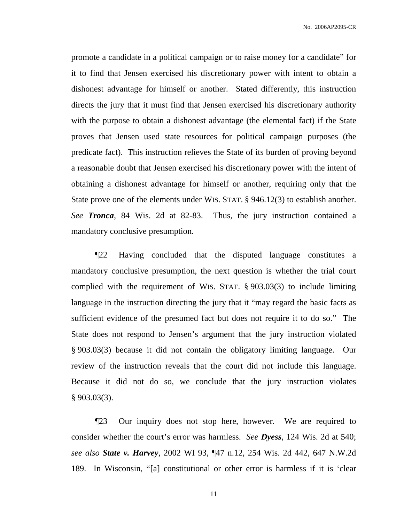promote a candidate in a political campaign or to raise money for a candidate" for it to find that Jensen exercised his discretionary power with intent to obtain a dishonest advantage for himself or another. Stated differently, this instruction directs the jury that it must find that Jensen exercised his discretionary authority with the purpose to obtain a dishonest advantage (the elemental fact) if the State proves that Jensen used state resources for political campaign purposes (the predicate fact). This instruction relieves the State of its burden of proving beyond a reasonable doubt that Jensen exercised his discretionary power with the intent of obtaining a dishonest advantage for himself or another, requiring only that the State prove one of the elements under WIS. STAT. § 946.12(3) to establish another. *See Tronca*, 84 Wis. 2d at 82-83. Thus, the jury instruction contained a mandatory conclusive presumption.

¶22 Having concluded that the disputed language constitutes a mandatory conclusive presumption, the next question is whether the trial court complied with the requirement of WIS. STAT. § 903.03(3) to include limiting language in the instruction directing the jury that it "may regard the basic facts as sufficient evidence of the presumed fact but does not require it to do so." The State does not respond to Jensen's argument that the jury instruction violated § 903.03(3) because it did not contain the obligatory limiting language. Our review of the instruction reveals that the court did not include this language. Because it did not do so, we conclude that the jury instruction violates  $§$  903.03(3).

¶23 Our inquiry does not stop here, however. We are required to consider whether the court's error was harmless. *See Dyess*, 124 Wis. 2d at 540; *see also State v. Harvey*, 2002 WI 93, ¶47 n.12, 254 Wis. 2d 442, 647 N.W.2d 189. In Wisconsin, "[a] constitutional or other error is harmless if it is 'clear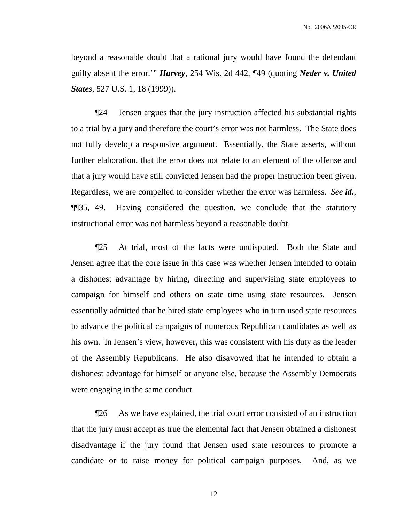beyond a reasonable doubt that a rational jury would have found the defendant guilty absent the error.'" *Harvey*, 254 Wis. 2d 442, ¶49 (quoting *Neder v. United States*, 527 U.S. 1, 18 (1999)).

¶24 Jensen argues that the jury instruction affected his substantial rights to a trial by a jury and therefore the court's error was not harmless. The State does not fully develop a responsive argument. Essentially, the State asserts, without further elaboration, that the error does not relate to an element of the offense and that a jury would have still convicted Jensen had the proper instruction been given. Regardless, we are compelled to consider whether the error was harmless. *See id.*, ¶¶35, 49. Having considered the question, we conclude that the statutory instructional error was not harmless beyond a reasonable doubt.

¶25 At trial, most of the facts were undisputed. Both the State and Jensen agree that the core issue in this case was whether Jensen intended to obtain a dishonest advantage by hiring, directing and supervising state employees to campaign for himself and others on state time using state resources. Jensen essentially admitted that he hired state employees who in turn used state resources to advance the political campaigns of numerous Republican candidates as well as his own. In Jensen's view, however, this was consistent with his duty as the leader of the Assembly Republicans. He also disavowed that he intended to obtain a dishonest advantage for himself or anyone else, because the Assembly Democrats were engaging in the same conduct.

¶26 As we have explained, the trial court error consisted of an instruction that the jury must accept as true the elemental fact that Jensen obtained a dishonest disadvantage if the jury found that Jensen used state resources to promote a candidate or to raise money for political campaign purposes. And, as we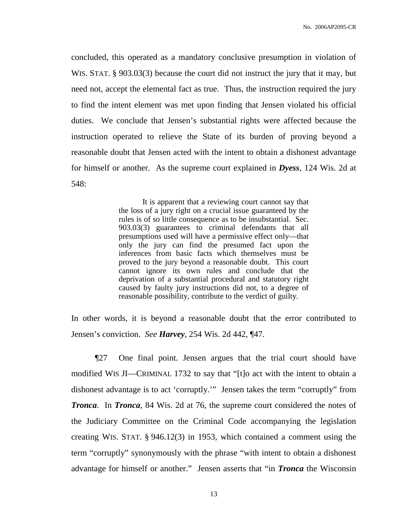concluded, this operated as a mandatory conclusive presumption in violation of WIS. STAT. § 903.03(3) because the court did not instruct the jury that it may, but need not, accept the elemental fact as true. Thus, the instruction required the jury to find the intent element was met upon finding that Jensen violated his official duties. We conclude that Jensen's substantial rights were affected because the instruction operated to relieve the State of its burden of proving beyond a reasonable doubt that Jensen acted with the intent to obtain a dishonest advantage for himself or another. As the supreme court explained in *Dyess*, 124 Wis. 2d at 548:

> It is apparent that a reviewing court cannot say that the loss of a jury right on a crucial issue guaranteed by the rules is of so little consequence as to be insubstantial. Sec. 903.03(3) guarantees to criminal defendants that all presumptions used will have a permissive effect only—that only the jury can find the presumed fact upon the inferences from basic facts which themselves must be proved to the jury beyond a reasonable doubt. This court cannot ignore its own rules and conclude that the deprivation of a substantial procedural and statutory right caused by faulty jury instructions did not, to a degree of reasonable possibility, contribute to the verdict of guilty.

In other words, it is beyond a reasonable doubt that the error contributed to Jensen's conviction. *See Harvey*, 254 Wis. 2d 442, ¶47.

¶27 One final point. Jensen argues that the trial court should have modified WIS JI—CRIMINAL 1732 to say that "[t]o act with the intent to obtain a dishonest advantage is to act 'corruptly.'" Jensen takes the term "corruptly" from *Tronca*. In *Tronca*, 84 Wis. 2d at 76, the supreme court considered the notes of the Judiciary Committee on the Criminal Code accompanying the legislation creating WIS. STAT. § 946.12(3) in 1953, which contained a comment using the term "corruptly" synonymously with the phrase "with intent to obtain a dishonest advantage for himself or another." Jensen asserts that "in *Tronca* the Wisconsin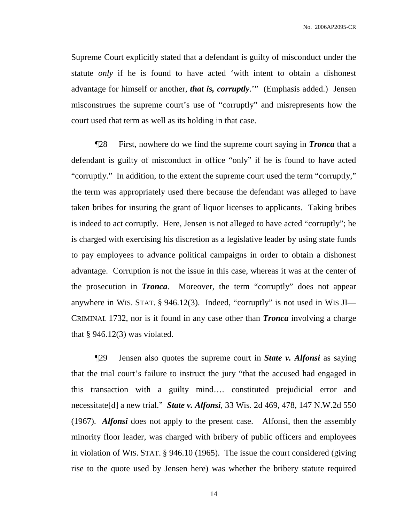Supreme Court explicitly stated that a defendant is guilty of misconduct under the statute *only* if he is found to have acted 'with intent to obtain a dishonest advantage for himself or another, *that is, corruptly*.'" (Emphasis added.) Jensen misconstrues the supreme court's use of "corruptly" and misrepresents how the court used that term as well as its holding in that case.

¶28 First, nowhere do we find the supreme court saying in *Tronca* that a defendant is guilty of misconduct in office "only" if he is found to have acted "corruptly." In addition, to the extent the supreme court used the term "corruptly," the term was appropriately used there because the defendant was alleged to have taken bribes for insuring the grant of liquor licenses to applicants. Taking bribes is indeed to act corruptly. Here, Jensen is not alleged to have acted "corruptly"; he is charged with exercising his discretion as a legislative leader by using state funds to pay employees to advance political campaigns in order to obtain a dishonest advantage. Corruption is not the issue in this case, whereas it was at the center of the prosecution in *Tronca*. Moreover, the term "corruptly" does not appear anywhere in WIS. STAT. § 946.12(3). Indeed, "corruptly" is not used in WIS JI— CRIMINAL 1732, nor is it found in any case other than *Tronca* involving a charge that  $\S 946.12(3)$  was violated.

¶29 Jensen also quotes the supreme court in *State v. Alfonsi* as saying that the trial court's failure to instruct the jury "that the accused had engaged in this transaction with a guilty mind…. constituted prejudicial error and necessitate[d] a new trial." *State v. Alfonsi*, 33 Wis. 2d 469, 478, 147 N.W.2d 550 (1967). *Alfonsi* does not apply to the present case. Alfonsi, then the assembly minority floor leader, was charged with bribery of public officers and employees in violation of WIS. STAT. § 946.10 (1965). The issue the court considered (giving rise to the quote used by Jensen here) was whether the bribery statute required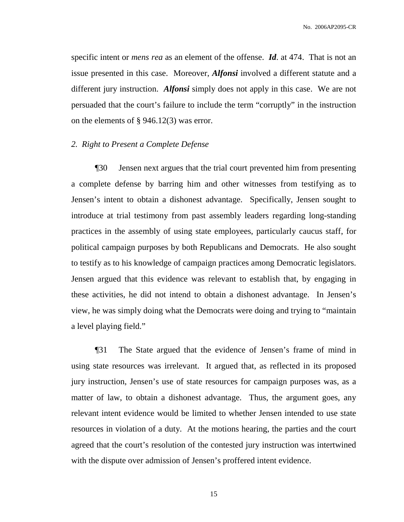specific intent or *mens rea* as an element of the offense. *Id*. at 474. That is not an issue presented in this case. Moreover, *Alfonsi* involved a different statute and a different jury instruction. *Alfonsi* simply does not apply in this case. We are not persuaded that the court's failure to include the term "corruptly" in the instruction on the elements of § 946.12(3) was error.

### *2. Right to Present a Complete Defense*

¶30 Jensen next argues that the trial court prevented him from presenting a complete defense by barring him and other witnesses from testifying as to Jensen's intent to obtain a dishonest advantage. Specifically, Jensen sought to introduce at trial testimony from past assembly leaders regarding long-standing practices in the assembly of using state employees, particularly caucus staff, for political campaign purposes by both Republicans and Democrats. He also sought to testify as to his knowledge of campaign practices among Democratic legislators. Jensen argued that this evidence was relevant to establish that, by engaging in these activities, he did not intend to obtain a dishonest advantage. In Jensen's view, he was simply doing what the Democrats were doing and trying to "maintain a level playing field."

¶31 The State argued that the evidence of Jensen's frame of mind in using state resources was irrelevant. It argued that, as reflected in its proposed jury instruction, Jensen's use of state resources for campaign purposes was, as a matter of law, to obtain a dishonest advantage. Thus, the argument goes, any relevant intent evidence would be limited to whether Jensen intended to use state resources in violation of a duty. At the motions hearing, the parties and the court agreed that the court's resolution of the contested jury instruction was intertwined with the dispute over admission of Jensen's proffered intent evidence.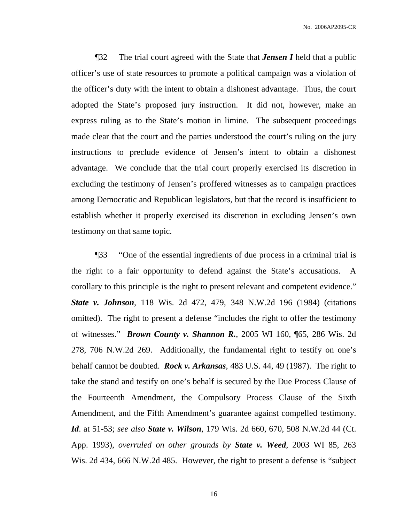¶32 The trial court agreed with the State that *Jensen I* held that a public officer's use of state resources to promote a political campaign was a violation of the officer's duty with the intent to obtain a dishonest advantage. Thus, the court adopted the State's proposed jury instruction. It did not, however, make an express ruling as to the State's motion in limine. The subsequent proceedings made clear that the court and the parties understood the court's ruling on the jury instructions to preclude evidence of Jensen's intent to obtain a dishonest advantage. We conclude that the trial court properly exercised its discretion in excluding the testimony of Jensen's proffered witnesses as to campaign practices among Democratic and Republican legislators, but that the record is insufficient to establish whether it properly exercised its discretion in excluding Jensen's own testimony on that same topic.

¶33 "One of the essential ingredients of due process in a criminal trial is the right to a fair opportunity to defend against the State's accusations. A corollary to this principle is the right to present relevant and competent evidence." *State v. Johnson*, 118 Wis. 2d 472, 479, 348 N.W.2d 196 (1984) (citations omitted). The right to present a defense "includes the right to offer the testimony of witnesses." *Brown County v. Shannon R.*, 2005 WI 160, ¶65, 286 Wis. 2d 278, 706 N.W.2d 269. Additionally, the fundamental right to testify on one's behalf cannot be doubted. *Rock v. Arkansas*, 483 U.S. 44, 49 (1987). The right to take the stand and testify on one's behalf is secured by the Due Process Clause of the Fourteenth Amendment, the Compulsory Process Clause of the Sixth Amendment, and the Fifth Amendment's guarantee against compelled testimony. *Id*. at 51-53; *see also State v. Wilson*, 179 Wis. 2d 660, 670, 508 N.W.2d 44 (Ct. App. 1993), *overruled on other grounds by State v. Weed*, 2003 WI 85, 263 Wis. 2d 434, 666 N.W.2d 485. However, the right to present a defense is "subject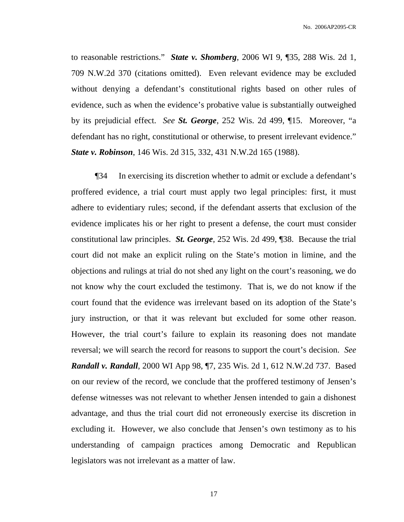to reasonable restrictions." *State v. Shomberg*, 2006 WI 9, ¶35, 288 Wis. 2d 1, 709 N.W.2d 370 (citations omitted). Even relevant evidence may be excluded without denying a defendant's constitutional rights based on other rules of evidence, such as when the evidence's probative value is substantially outweighed by its prejudicial effect. *See St. George*, 252 Wis. 2d 499, ¶15. Moreover, "a defendant has no right, constitutional or otherwise, to present irrelevant evidence." *State v. Robinson*, 146 Wis. 2d 315, 332, 431 N.W.2d 165 (1988).

¶34 In exercising its discretion whether to admit or exclude a defendant's proffered evidence, a trial court must apply two legal principles: first, it must adhere to evidentiary rules; second, if the defendant asserts that exclusion of the evidence implicates his or her right to present a defense, the court must consider constitutional law principles. *St. George*, 252 Wis. 2d 499, ¶38. Because the trial court did not make an explicit ruling on the State's motion in limine, and the objections and rulings at trial do not shed any light on the court's reasoning, we do not know why the court excluded the testimony. That is, we do not know if the court found that the evidence was irrelevant based on its adoption of the State's jury instruction, or that it was relevant but excluded for some other reason. However, the trial court's failure to explain its reasoning does not mandate reversal; we will search the record for reasons to support the court's decision. *See Randall v. Randall*, 2000 WI App 98, ¶7, 235 Wis. 2d 1, 612 N.W.2d 737. Based on our review of the record, we conclude that the proffered testimony of Jensen's defense witnesses was not relevant to whether Jensen intended to gain a dishonest advantage, and thus the trial court did not erroneously exercise its discretion in excluding it. However, we also conclude that Jensen's own testimony as to his understanding of campaign practices among Democratic and Republican legislators was not irrelevant as a matter of law.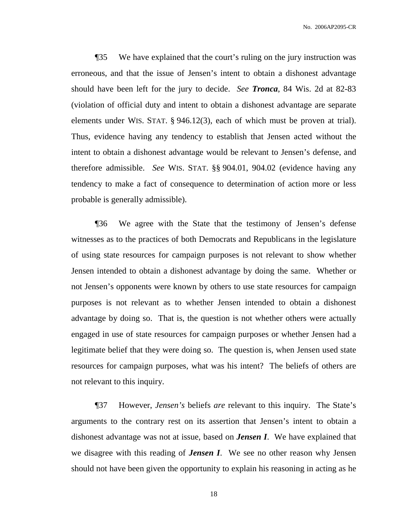¶35 We have explained that the court's ruling on the jury instruction was erroneous, and that the issue of Jensen's intent to obtain a dishonest advantage should have been left for the jury to decide. *See Tronca*, 84 Wis. 2d at 82-83 (violation of official duty and intent to obtain a dishonest advantage are separate elements under WIS. STAT. § 946.12(3), each of which must be proven at trial). Thus, evidence having any tendency to establish that Jensen acted without the intent to obtain a dishonest advantage would be relevant to Jensen's defense, and therefore admissible. *See* WIS. STAT. §§ 904.01, 904.02 (evidence having any tendency to make a fact of consequence to determination of action more or less probable is generally admissible).

¶36 We agree with the State that the testimony of Jensen's defense witnesses as to the practices of both Democrats and Republicans in the legislature of using state resources for campaign purposes is not relevant to show whether Jensen intended to obtain a dishonest advantage by doing the same. Whether or not Jensen's opponents were known by others to use state resources for campaign purposes is not relevant as to whether Jensen intended to obtain a dishonest advantage by doing so. That is, the question is not whether others were actually engaged in use of state resources for campaign purposes or whether Jensen had a legitimate belief that they were doing so. The question is, when Jensen used state resources for campaign purposes, what was his intent? The beliefs of others are not relevant to this inquiry.

¶37 However, *Jensen's* beliefs *are* relevant to this inquiry. The State's arguments to the contrary rest on its assertion that Jensen's intent to obtain a dishonest advantage was not at issue, based on *Jensen I*. We have explained that we disagree with this reading of *Jensen I*. We see no other reason why Jensen should not have been given the opportunity to explain his reasoning in acting as he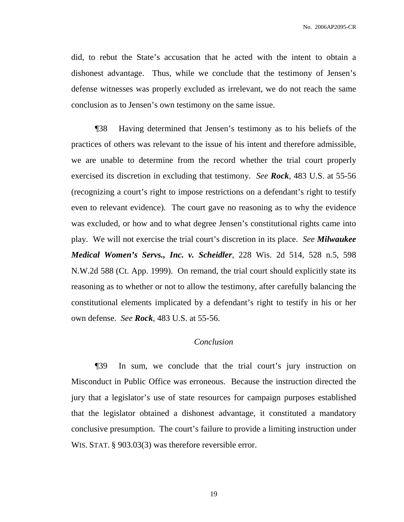did, to rebut the State's accusation that he acted with the intent to obtain a dishonest advantage. Thus, while we conclude that the testimony of Jensen's defense witnesses was properly excluded as irrelevant, we do not reach the same conclusion as to Jensen's own testimony on the same issue.

¶38 Having determined that Jensen's testimony as to his beliefs of the practices of others was relevant to the issue of his intent and therefore admissible, we are unable to determine from the record whether the trial court properly exercised its discretion in excluding that testimony. *See Rock*, 483 U.S. at 55-56 (recognizing a court's right to impose restrictions on a defendant's right to testify even to relevant evidence). The court gave no reasoning as to why the evidence was excluded, or how and to what degree Jensen's constitutional rights came into play. We will not exercise the trial court's discretion in its place. *See Milwaukee Medical Women's Servs., Inc. v. Scheidler*, 228 Wis. 2d 514, 528 n.5, 598 N.W.2d 588 (Ct. App. 1999). On remand, the trial court should explicitly state its reasoning as to whether or not to allow the testimony, after carefully balancing the constitutional elements implicated by a defendant's right to testify in his or her own defense. *See Rock*, 483 U.S. at 55-56.

### *Conclusion*

¶39 In sum, we conclude that the trial court's jury instruction on Misconduct in Public Office was erroneous. Because the instruction directed the jury that a legislator's use of state resources for campaign purposes established that the legislator obtained a dishonest advantage, it constituted a mandatory conclusive presumption. The court's failure to provide a limiting instruction under WIS. STAT. § 903.03(3) was therefore reversible error.